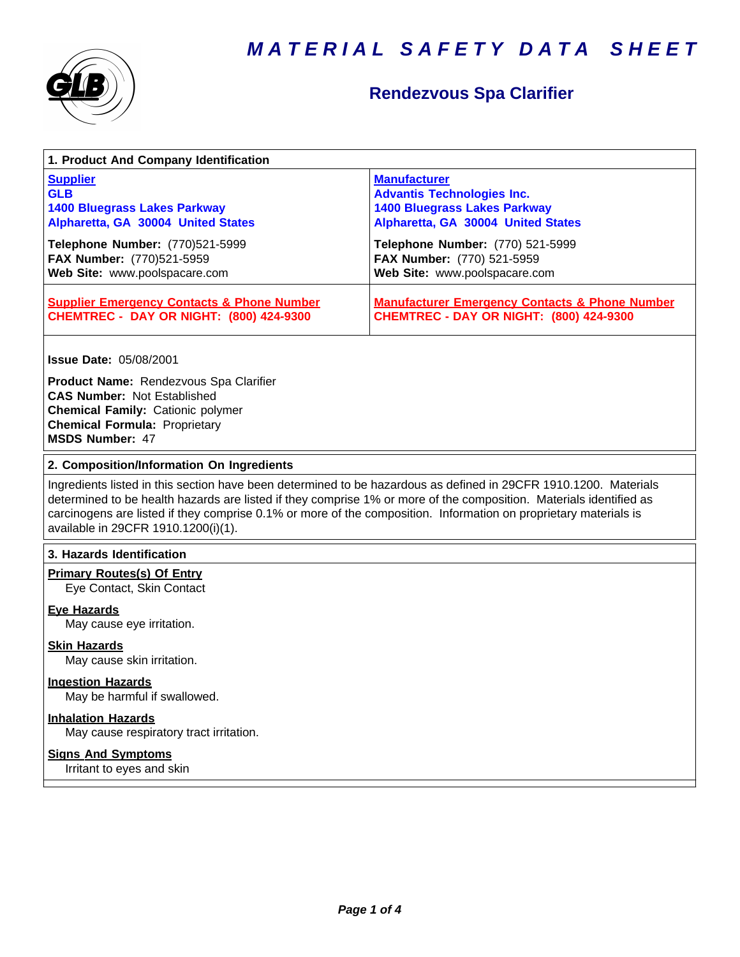



### **Rendezvous Spa Clarifier**

| <b>Supplier</b><br><b>GLB</b><br><b>1400 Bluegrass Lakes Parkway</b><br>Alpharetta, GA 30004 United States                                                                                 | <b>Manufacturer</b><br><b>Advantis Technologies Inc.</b><br><b>1400 Bluegrass Lakes Parkway</b><br>Alpharetta, GA 30004 United States                                                                                                                                                                                                                      |
|--------------------------------------------------------------------------------------------------------------------------------------------------------------------------------------------|------------------------------------------------------------------------------------------------------------------------------------------------------------------------------------------------------------------------------------------------------------------------------------------------------------------------------------------------------------|
| Telephone Number: (770)521-5999<br>FAX Number: (770)521-5959<br>Web Site: www.poolspacare.com                                                                                              | Telephone Number: (770) 521-5999<br>FAX Number: (770) 521-5959<br>Web Site: www.poolspacare.com                                                                                                                                                                                                                                                            |
| <b>Supplier Emergency Contacts &amp; Phone Number</b><br><b>CHEMTREC - DAY OR NIGHT: (800) 424-9300</b>                                                                                    | <b>Manufacturer Emergency Contacts &amp; Phone Number</b><br><b>CHEMTREC - DAY OR NIGHT: (800) 424-9300</b>                                                                                                                                                                                                                                                |
| <b>Issue Date: 05/08/2001</b>                                                                                                                                                              |                                                                                                                                                                                                                                                                                                                                                            |
| Product Name: Rendezvous Spa Clarifier<br><b>CAS Number: Not Established</b><br><b>Chemical Family: Cationic polymer</b><br><b>Chemical Formula: Proprietary</b><br><b>MSDS Number: 47</b> |                                                                                                                                                                                                                                                                                                                                                            |
|                                                                                                                                                                                            |                                                                                                                                                                                                                                                                                                                                                            |
| 2. Composition/Information On Ingredients                                                                                                                                                  |                                                                                                                                                                                                                                                                                                                                                            |
| available in 29CFR 1910.1200(i)(1).                                                                                                                                                        | Ingredients listed in this section have been determined to be hazardous as defined in 29CFR 1910.1200. Materials<br>determined to be health hazards are listed if they comprise 1% or more of the composition. Materials identified as<br>carcinogens are listed if they comprise 0.1% or more of the composition. Information on proprietary materials is |
| 3. Hazards Identification                                                                                                                                                                  |                                                                                                                                                                                                                                                                                                                                                            |
| <b>Primary Routes(s) Of Entry</b><br>Eye Contact, Skin Contact                                                                                                                             |                                                                                                                                                                                                                                                                                                                                                            |
| <b>Eye Hazards</b><br>May cause eye irritation.                                                                                                                                            |                                                                                                                                                                                                                                                                                                                                                            |
| <b>Skin Hazards</b><br>May cause skin irritation.                                                                                                                                          |                                                                                                                                                                                                                                                                                                                                                            |
| <b>Ingestion Hazards</b><br>May be harmful if swallowed.                                                                                                                                   |                                                                                                                                                                                                                                                                                                                                                            |
| <b>Inhalation Hazards</b><br>May cause respiratory tract irritation.                                                                                                                       |                                                                                                                                                                                                                                                                                                                                                            |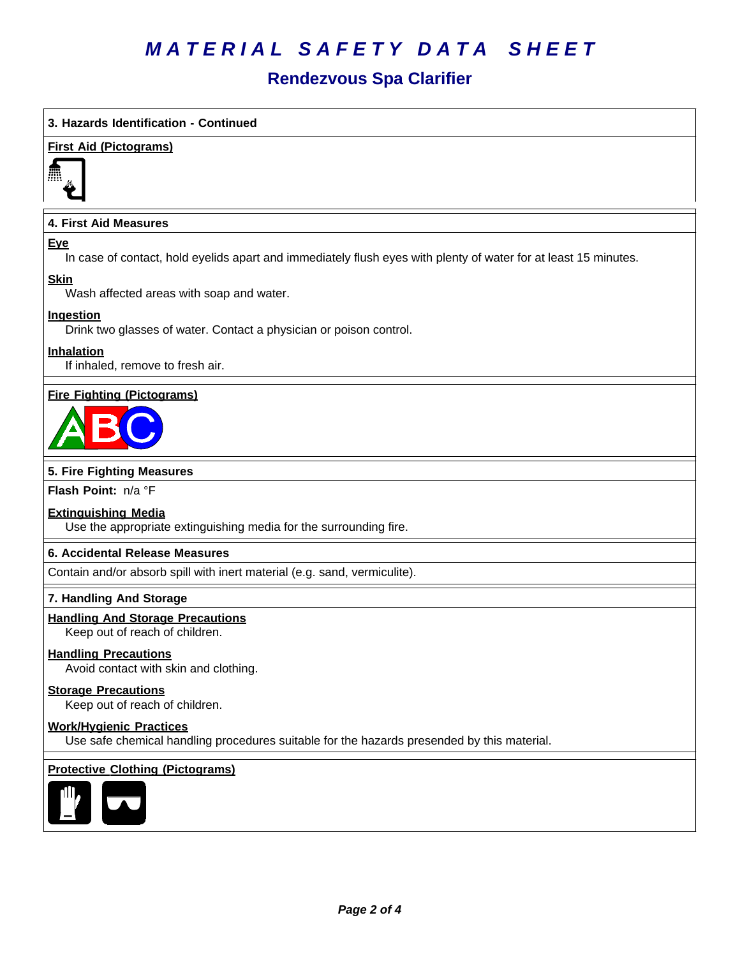# *MATERIAL SAFETY DATA SHEET*

### **Rendezvous Spa Clarifier**

#### **3. Hazards Identification - Continued**

#### **First Aid (Pictograms)**



#### **4. First Aid Measures**

#### **Eye**

In case of contact, hold eyelids apart and immediately flush eyes with plenty of water for at least 15 minutes.

#### **Skin**

Wash affected areas with soap and water.

#### **Ingestion**

Drink two glasses of water. Contact a physician or poison control.

#### **Inhalation**

If inhaled, remove to fresh air.

#### **Fire Fighting (Pictograms)**



#### **5. Fire Fighting Measures**

**Flash Point:** n/a°F

#### **Extinguishing Media**

Use the appropriate extinguishing media for the surrounding fire.

#### **6.Accidental ReleaseMeasures**

Contain and/or absorb spill with inert material (e.g. sand, vermiculite).

#### **7. Handling And Storage**

#### **Handling And Storage Precautions**

Keep out of reach of children.

#### **Handling Precautions**

Avoid contact with skin and clothing.

#### **Storage Precautions**

Keep out of reach of children.

#### **Work/Hygienic Practices**

Use safe chemical handling procedures suitable for the hazards presended by this material.

#### **Protective Clothing (Pictograms)**

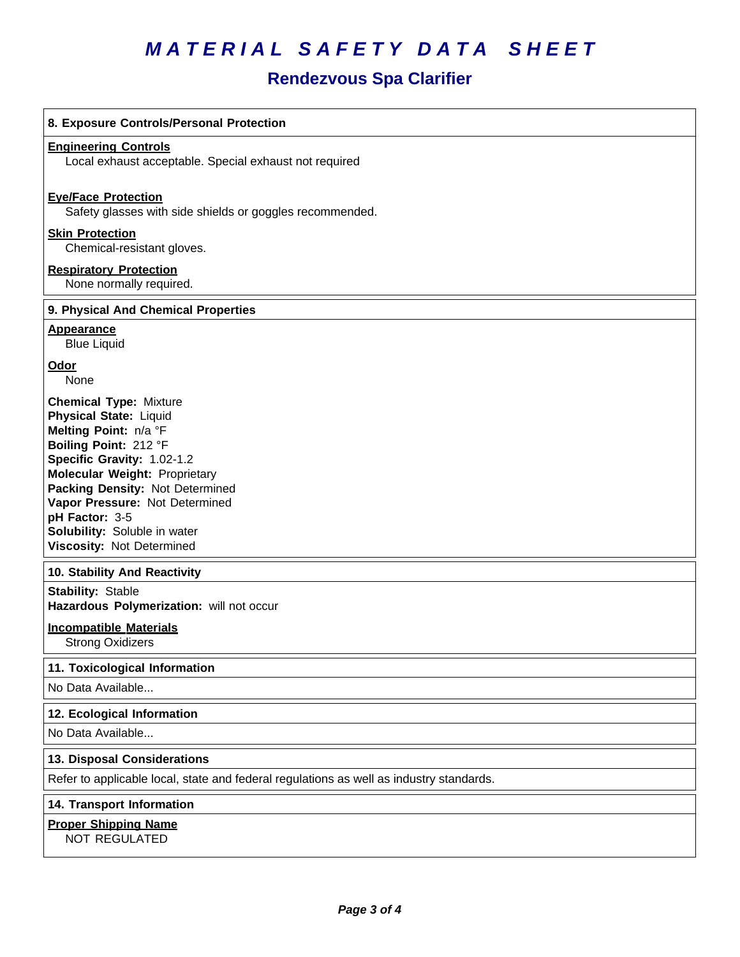# *MATERIAL SAFETY DATA SHEET*

### **Rendezvous Spa Clarifier**

| 8. Exposure Controls/Personal Protection                                                                                                                                                                                                                                                                                                   |
|--------------------------------------------------------------------------------------------------------------------------------------------------------------------------------------------------------------------------------------------------------------------------------------------------------------------------------------------|
| <b>Engineering Controls</b><br>Local exhaust acceptable. Special exhaust not required                                                                                                                                                                                                                                                      |
| <b>Eve/Face Protection</b><br>Safety glasses with side shields or goggles recommended.                                                                                                                                                                                                                                                     |
| <b>Skin Protection</b><br>Chemical-resistant gloves.                                                                                                                                                                                                                                                                                       |
| <b>Respiratory Protection</b><br>None normally required.                                                                                                                                                                                                                                                                                   |
| 9. Physical And Chemical Properties                                                                                                                                                                                                                                                                                                        |
| <b>Appearance</b><br><b>Blue Liquid</b>                                                                                                                                                                                                                                                                                                    |
| Odor<br>None                                                                                                                                                                                                                                                                                                                               |
| <b>Chemical Type: Mixture</b><br><b>Physical State: Liquid</b><br>Melting Point: n/a °F<br>Boiling Point: 212 °F<br>Specific Gravity: 1.02-1.2<br><b>Molecular Weight: Proprietary</b><br>Packing Density: Not Determined<br>Vapor Pressure: Not Determined<br>pH Factor: 3-5<br>Solubility: Soluble in water<br>Viscosity: Not Determined |
| 10. Stability And Reactivity                                                                                                                                                                                                                                                                                                               |
| <b>Stability: Stable</b><br>Hazardous Polymerization: will not occur                                                                                                                                                                                                                                                                       |
| <b>Incompatible Materials</b><br><b>Strong Oxidizers</b>                                                                                                                                                                                                                                                                                   |
| 11. Toxicological Information                                                                                                                                                                                                                                                                                                              |
| No Data Available                                                                                                                                                                                                                                                                                                                          |
| 12. Ecological Information                                                                                                                                                                                                                                                                                                                 |
| No Data Available                                                                                                                                                                                                                                                                                                                          |
| 13. Disposal Considerations                                                                                                                                                                                                                                                                                                                |
| Refer to applicable local, state and federal regulations as well as industry standards.                                                                                                                                                                                                                                                    |
| 14. Transport Information                                                                                                                                                                                                                                                                                                                  |
| <b>Proper Shipping Name</b>                                                                                                                                                                                                                                                                                                                |

NOT REGULATED